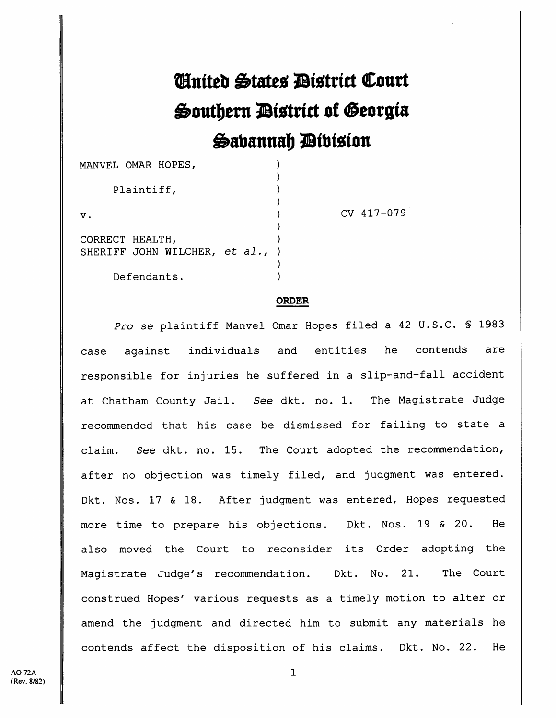## *C***inited States Bistrict Court Southern District of Georgia** Sabannah *Dibision*

| MANVEL OMAR HOPES,                                 |  |
|----------------------------------------------------|--|
| Plaintiff,                                         |  |
| v.                                                 |  |
| CORRECT HEALTH,<br>SHERIFF JOHN WILCHER, et al., ) |  |
| Defendants.                                        |  |

CV 417-079

## ORDER

Pro se plaintiff Manvel Omar Hopes filed a 42 U.S.C. § 1983 case against individuals and entities he contends are responsible for injuries he suffered in a slip-and-fall accident at Chatham County Jail. See dkt. no. 1. The Magistrate Judge recommended that his case be dismissed for failing to state <sup>a</sup> claim. See dkt. no. 15. The Court adopted the recommendation, after no objection was timely filed, and judgment was entered. Dkt. Nos. 17 & 18. After judgment was entered, Hopes requested more time to prepare his objections. Dkt. Nos. 19 & 20. He also moved the Court to reconsider its Order adopting the Magistrate Judge's recommendation. Dkt. No. 21. The Court construed Hopes' various requests as <sup>a</sup> timely motion to alter or amend the judgment and directed him to submit any materials he contends affect the disposition of his claims. Dkt. No. 22. He

1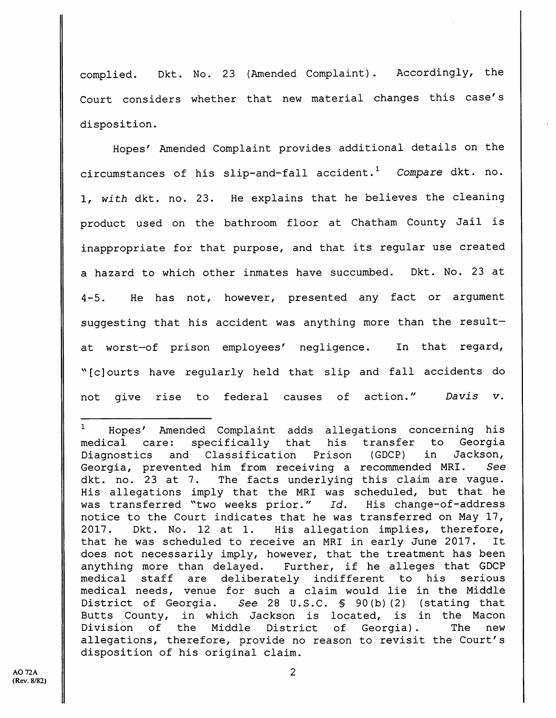complied. Dkt. No. 23 (Amended Complaint). Accordingly, the Court considers whether that new material changes this case's disposition.

Hopes' Amended Complaint provides additional details on the circumstances of his slip-and-fall accident.<sup>1</sup> Compare dkt. no. 1, with dkt. no. 23. He explains that he believes the cleaning product used on the bathroom floor at Chatham County Jail is inappropriate for that purpose, and that its regular use created <sup>a</sup> hazard to which other inmates have succumbed. Dkt. No. 23 at 4-5. He has not, however, presented any fact or argument suggesting that his accident was anything more than the result at worst—of prison employees' negligence. In that regard, ^'[c]ourts have regularly held that slip and fall accidents do not give rise to federal causes of action." Davis v.

 $1$  Hopes' Amended Complaint adds allegations concerning his medical care: specifically that his transfer to Georgia Diagnostics and Classification Prison (GDCP) in Jackson, Georgia, prevented him from receiving a recommended MRI. See dkt. no. 23 at 7. The facts underlying this claim are vague. His allegations imply that the MRI was scheduled, but that he was transferred "two weeks prior." Id. His change-of-address notice to the Court indicates that he was transferred on May 17, 2017. Dkt. No. 12 at 1. His allegation implies, therefore, that he was scheduled to receive an MRI in early June 2017. It does not necessarily imply, however, that the treatment has been anything more than delayed. Further, if he alleges that GDCP medical staff are deliberately indifferent to his serious medical needs, venue for such <sup>a</sup> claim would lie in the Middle District of Georgia. See 28 U.S.C. § 90(b)(2) (stating that Butts County, in which Jackson is located, is in the Macon Division of the Middle District of Georgia). The new Division of the Middle District of Georgia). The new<br>allegations, therefore, provide no reason to revisit the Court's disposition of his original claim.